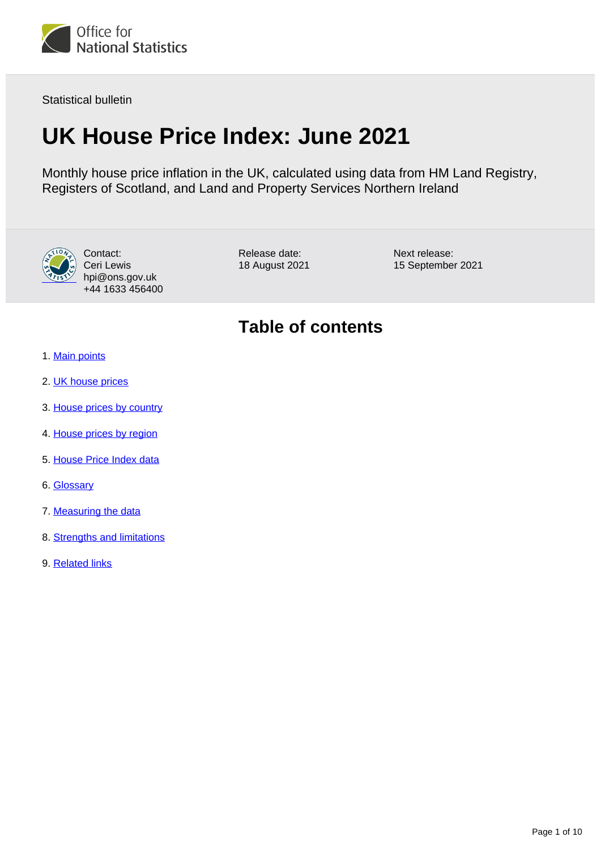

Statistical bulletin

# **UK House Price Index: June 2021**

Monthly house price inflation in the UK, calculated using data from HM Land Registry, Registers of Scotland, and Land and Property Services Northern Ireland



Contact: Ceri Lewis hpi@ons.gov.uk +44 1633 456400

Release date: 18 August 2021 Next release: 15 September 2021

## **Table of contents**

- 1. [Main points](#page-1-0)
- 2. [UK house prices](#page-1-1)
- 3. [House prices by country](#page-4-0)
- 4. [House prices by region](#page-5-0)
- 5. [House Price Index data](#page-7-0)
- 6. [Glossary](#page-7-1)
- 7. [Measuring the data](#page-7-2)
- 8. [Strengths and limitations](#page-9-0)
- 9. [Related links](#page-9-1)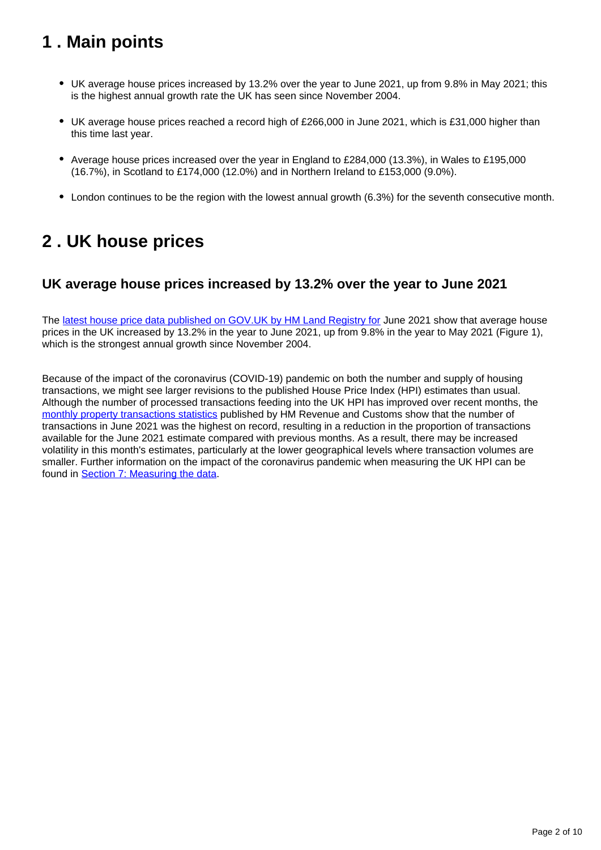## <span id="page-1-0"></span>**1 . Main points**

- UK average house prices increased by 13.2% over the year to June 2021, up from 9.8% in May 2021; this is the highest annual growth rate the UK has seen since November 2004.
- UK average house prices reached a record high of £266,000 in June 2021, which is £31,000 higher than this time last year.
- Average house prices increased over the year in England to £284,000 (13.3%), in Wales to £195,000 (16.7%), in Scotland to £174,000 (12.0%) and in Northern Ireland to £153,000 (9.0%).
- London continues to be the region with the lowest annual growth (6.3%) for the seventh consecutive month.

## <span id="page-1-1"></span>**2 . UK house prices**

## **UK average house prices increased by 13.2% over the year to June 2021**

The [latest house price data published on GOV.UK by HM Land Registry for](https://www.gov.uk/government/collections/uk-house-price-index-reports) June 2021 show that average house prices in the UK increased by 13.2% in the year to June 2021, up from 9.8% in the year to May 2021 (Figure 1), which is the strongest annual growth since November 2004.

Because of the impact of the coronavirus (COVID-19) pandemic on both the number and supply of housing transactions, we might see larger revisions to the published House Price Index (HPI) estimates than usual. Although the number of processed transactions feeding into the UK HPI has improved over recent months, the [monthly property transactions statistics](https://www.gov.uk/government/statistics/monthly-property-transactions-completed-in-the-uk-with-value-40000-or-above) published by HM Revenue and Customs show that the number of transactions in June 2021 was the highest on record, resulting in a reduction in the proportion of transactions available for the June 2021 estimate compared with previous months. As a result, there may be increased volatility in this month's estimates, particularly at the lower geographical levels where transaction volumes are smaller. Further information on the impact of the coronavirus pandemic when measuring the UK HPI can be found in [Section 7: Measuring the data.](https://www.ons.gov.uk/economy/inflationandpriceindices/bulletins/housepriceindex/june2021#measuring-the-data)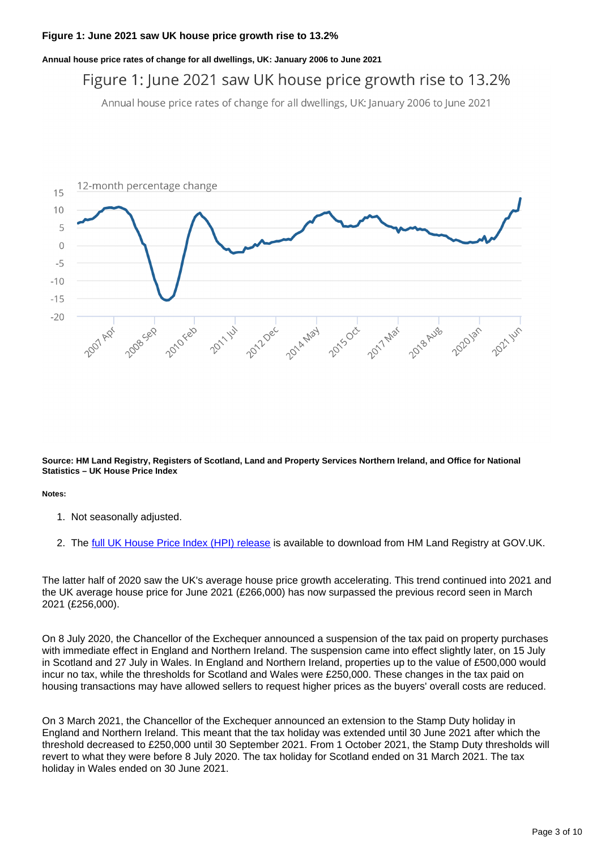**Annual house price rates of change for all dwellings, UK: January 2006 to June 2021**

## Figure 1: June 2021 saw UK house price growth rise to 13.2%

Annual house price rates of change for all dwellings, UK: January 2006 to June 2021



**Source: HM Land Registry, Registers of Scotland, Land and Property Services Northern Ireland, and Office for National Statistics – UK House Price Index**

**Notes:**

- 1. Not seasonally adjusted.
- 2. The <u>[full UK House Price Index \(HPI\) release](https://www.gov.uk/government/collections/uk-house-price-index-reports)</u> is available to download from HM Land Registry at GOV.UK.

The latter half of 2020 saw the UK's average house price growth accelerating. This trend continued into 2021 and the UK average house price for June 2021 (£266,000) has now surpassed the previous record seen in March 2021 (£256,000).

On 8 July 2020, the Chancellor of the Exchequer announced a suspension of the tax paid on property purchases with immediate effect in England and Northern Ireland. The suspension came into effect slightly later, on 15 July in Scotland and 27 July in Wales. In England and Northern Ireland, properties up to the value of £500,000 would incur no tax, while the thresholds for Scotland and Wales were £250,000. These changes in the tax paid on housing transactions may have allowed sellers to request higher prices as the buyers' overall costs are reduced.

On 3 March 2021, the Chancellor of the Exchequer announced an extension to the Stamp Duty holiday in England and Northern Ireland. This meant that the tax holiday was extended until 30 June 2021 after which the threshold decreased to £250,000 until 30 September 2021. From 1 October 2021, the Stamp Duty thresholds will revert to what they were before 8 July 2020. The tax holiday for Scotland ended on 31 March 2021. The tax holiday in Wales ended on 30 June 2021.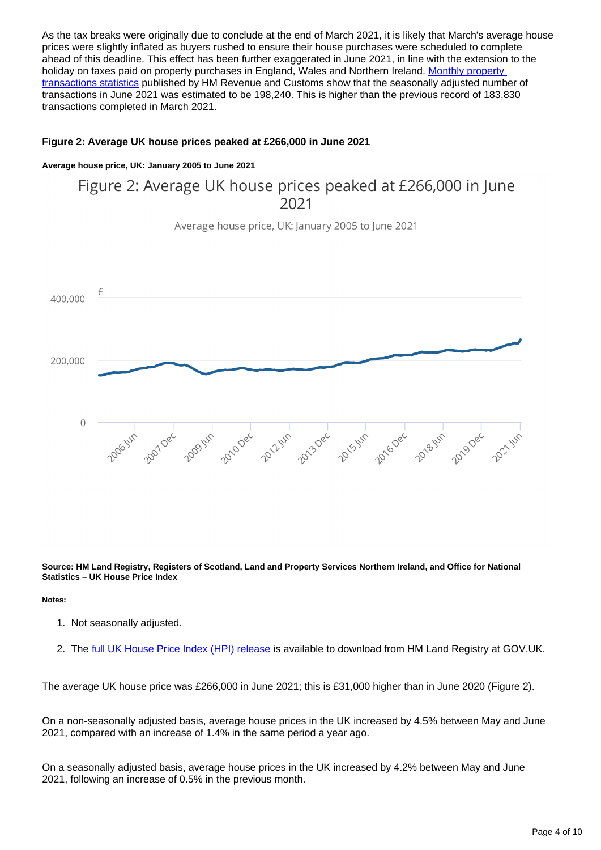As the tax breaks were originally due to conclude at the end of March 2021, it is likely that March's average house prices were slightly inflated as buyers rushed to ensure their house purchases were scheduled to complete ahead of this deadline. This effect has been further exaggerated in June 2021, in line with the extension to the holiday on taxes paid on property purchases in England, Wales and Northern Ireland. Monthly property [transactions statistics](https://www.gov.uk/government/statistics/monthly-property-transactions-completed-in-the-uk-with-value-40000-or-above) published by HM Revenue and Customs show that the seasonally adjusted number of transactions in June 2021 was estimated to be 198,240. This is higher than the previous record of 183,830 transactions completed in March 2021.

#### **Figure 2: Average UK house prices peaked at £266,000 in June 2021**

#### **Average house price, UK: January 2005 to June 2021**

## Figure 2: Average UK house prices peaked at £266,000 in June 2021

Average house price, UK: January 2005 to June 2021



**Source: HM Land Registry, Registers of Scotland, Land and Property Services Northern Ireland, and Office for National Statistics – UK House Price Index**

**Notes:**

- 1. Not seasonally adjusted.
- 2. The <u>[full UK House Price Index \(HPI\) release](https://www.gov.uk/government/collections/uk-house-price-index-reports)</u> is available to download from HM Land Registry at GOV.UK.

The average UK house price was £266,000 in June 2021; this is £31,000 higher than in June 2020 (Figure 2).

On a non-seasonally adjusted basis, average house prices in the UK increased by 4.5% between May and June 2021, compared with an increase of 1.4% in the same period a year ago.

On a seasonally adjusted basis, average house prices in the UK increased by 4.2% between May and June 2021, following an increase of 0.5% in the previous month.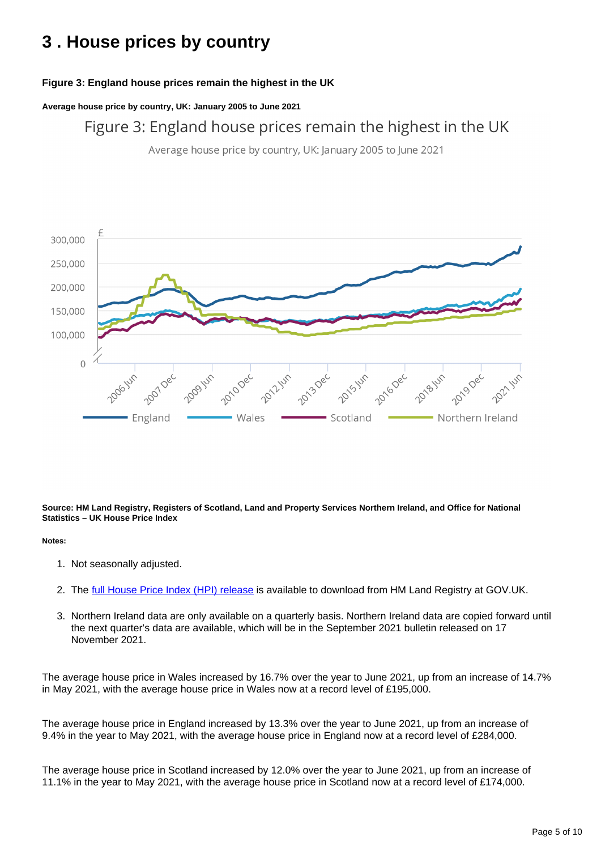## <span id="page-4-0"></span>**3 . House prices by country**

### **Figure 3: England house prices remain the highest in the UK**

**Average house price by country, UK: January 2005 to June 2021**

Figure 3: England house prices remain the highest in the UK

Average house price by country, UK: January 2005 to June 2021



**Source: HM Land Registry, Registers of Scotland, Land and Property Services Northern Ireland, and Office for National Statistics – UK House Price Index**

#### **Notes:**

- 1. Not seasonally adjusted.
- 2. The <u>[full House Price Index \(HPI\) release](https://www.gov.uk/government/collections/uk-house-price-index-reports)</u> is available to download from HM Land Registry at GOV.UK.
- 3. Northern Ireland data are only available on a quarterly basis. Northern Ireland data are copied forward until the next quarter's data are available, which will be in the September 2021 bulletin released on 17 November 2021.

The average house price in Wales increased by 16.7% over the year to June 2021, up from an increase of 14.7% in May 2021, with the average house price in Wales now at a record level of £195,000.

The average house price in England increased by 13.3% over the year to June 2021, up from an increase of 9.4% in the year to May 2021, with the average house price in England now at a record level of £284,000.

The average house price in Scotland increased by 12.0% over the year to June 2021, up from an increase of 11.1% in the year to May 2021, with the average house price in Scotland now at a record level of £174,000.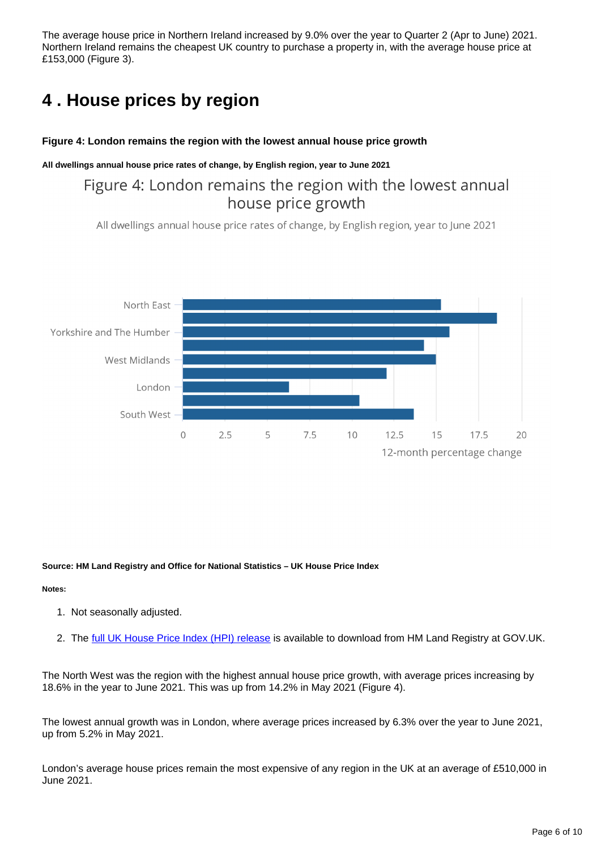The average house price in Northern Ireland increased by 9.0% over the year to Quarter 2 (Apr to June) 2021. Northern Ireland remains the cheapest UK country to purchase a property in, with the average house price at £153,000 (Figure 3).

## <span id="page-5-0"></span>**4 . House prices by region**

#### **Figure 4: London remains the region with the lowest annual house price growth**

#### **All dwellings annual house price rates of change, by English region, year to June 2021**

## Figure 4: London remains the region with the lowest annual house price growth

All dwellings annual house price rates of change, by English region, year to June 2021



**Source: HM Land Registry and Office for National Statistics – UK House Price Index**

#### **Notes:**

- 1. Not seasonally adjusted.
- 2. The <u>[full UK House Price Index \(HPI\) release](https://www.gov.uk/government/collections/uk-house-price-index-reports)</u> is available to download from HM Land Registry at GOV.UK.

The North West was the region with the highest annual house price growth, with average prices increasing by 18.6% in the year to June 2021. This was up from 14.2% in May 2021 (Figure 4).

The lowest annual growth was in London, where average prices increased by 6.3% over the year to June 2021, up from 5.2% in May 2021.

London's average house prices remain the most expensive of any region in the UK at an average of £510,000 in June 2021.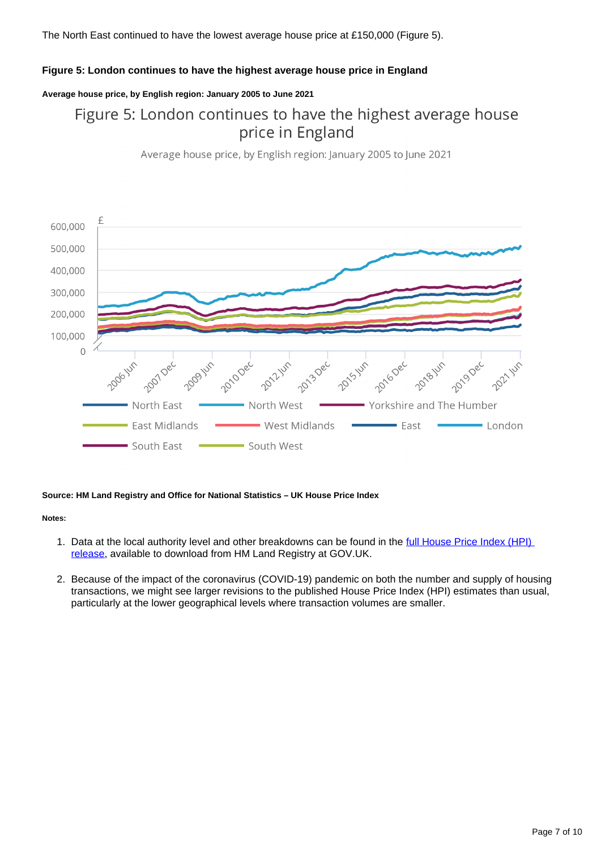The North East continued to have the lowest average house price at £150,000 (Figure 5).

#### **Figure 5: London continues to have the highest average house price in England**

#### **Average house price, by English region: January 2005 to June 2021**

## Figure 5: London continues to have the highest average house price in England

Average house price, by English region: January 2005 to June 2021



#### **Source: HM Land Registry and Office for National Statistics – UK House Price Index**

#### **Notes:**

- 1. Data at the local authority level and other breakdowns can be found in the full House Price Index (HPI) [release,](https://www.gov.uk/government/collections/uk-house-price-index-reports) available to download from HM Land Registry at GOV.UK.
- 2. Because of the impact of the coronavirus (COVID-19) pandemic on both the number and supply of housing transactions, we might see larger revisions to the published House Price Index (HPI) estimates than usual, particularly at the lower geographical levels where transaction volumes are smaller.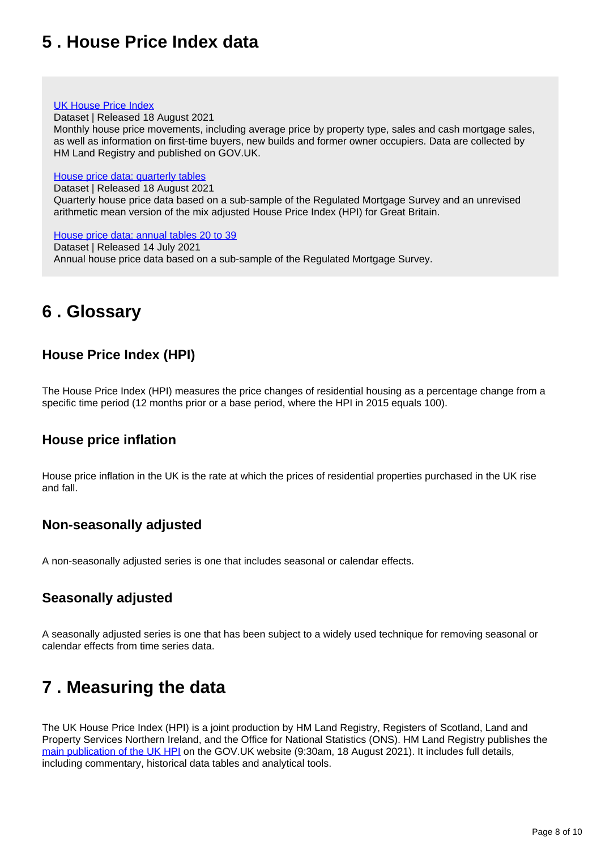## <span id="page-7-0"></span>**5 . House Price Index data**

#### [UK House Price Index](https://www.gov.uk/government/statistical-data-sets/uk-house-price-index-data-downloads-june-2021)

Dataset | Released 18 August 2021

Monthly house price movements, including average price by property type, sales and cash mortgage sales, as well as information on first-time buyers, new builds and former owner occupiers. Data are collected by HM Land Registry and published on GOV.UK.

#### [House price data: quarterly tables](https://www.ons.gov.uk/economy/inflationandpriceindices/datasets/housepriceindexmonthlyquarterlytables1to19)

Dataset | Released 18 August 2021

Quarterly house price data based on a sub-sample of the Regulated Mortgage Survey and an unrevised arithmetic mean version of the mix adjusted House Price Index (HPI) for Great Britain.

#### [House price data: annual tables 20 to 39](https://www.ons.gov.uk/economy/inflationandpriceindices/datasets/housepriceindexannualtables2039)

Dataset | Released 14 July 2021 Annual house price data based on a sub-sample of the Regulated Mortgage Survey.

## <span id="page-7-1"></span>**6 . Glossary**

## **House Price Index (HPI)**

The House Price Index (HPI) measures the price changes of residential housing as a percentage change from a specific time period (12 months prior or a base period, where the HPI in 2015 equals 100).

### **House price inflation**

House price inflation in the UK is the rate at which the prices of residential properties purchased in the UK rise and fall.

### **Non-seasonally adjusted**

A non-seasonally adjusted series is one that includes seasonal or calendar effects.

### **Seasonally adjusted**

A seasonally adjusted series is one that has been subject to a widely used technique for removing seasonal or calendar effects from time series data.

## <span id="page-7-2"></span>**7 . Measuring the data**

The UK House Price Index (HPI) is a joint production by HM Land Registry, Registers of Scotland, Land and Property Services Northern Ireland, and the Office for National Statistics (ONS). HM Land Registry publishes the [main publication of the UK HPI](https://www.gov.uk/government/collections/uk-house-price-index-reports) on the GOV.UK website (9:30am, 18 August 2021). It includes full details, including commentary, historical data tables and analytical tools.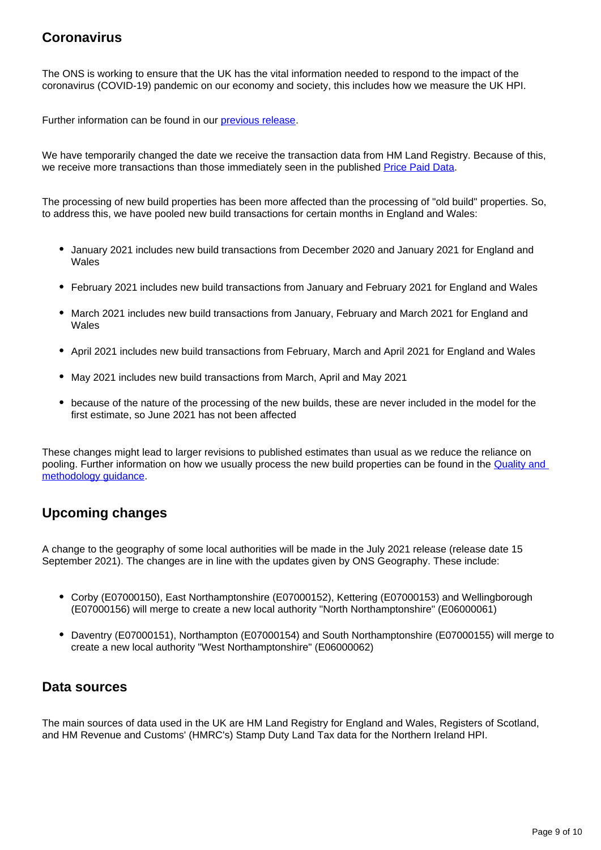## **Coronavirus**

The ONS is working to ensure that the UK has the vital information needed to respond to the impact of the coronavirus (COVID-19) pandemic on our economy and society, this includes how we measure the UK HPI.

Further information can be found in our [previous release](https://www.ons.gov.uk/economy/inflationandpriceindices/bulletins/housepriceindex/may2021).

We have temporarily changed the date we receive the transaction data from HM Land Registry. Because of this, we receive more transactions than those immediately seen in the published [Price Paid Data](https://www.gov.uk/government/statistical-data-sets/price-paid-data-downloads).

The processing of new build properties has been more affected than the processing of "old build" properties. So, to address this, we have pooled new build transactions for certain months in England and Wales:

- January 2021 includes new build transactions from December 2020 and January 2021 for England and Wales
- February 2021 includes new build transactions from January and February 2021 for England and Wales
- March 2021 includes new build transactions from January, February and March 2021 for England and Wales
- April 2021 includes new build transactions from February, March and April 2021 for England and Wales
- May 2021 includes new build transactions from March, April and May 2021
- because of the nature of the processing of the new builds, these are never included in the model for the first estimate, so June 2021 has not been affected

These changes might lead to larger revisions to published estimates than usual as we reduce the reliance on pooling. Further information on how we usually process the new build properties can be found in the [Quality and](https://www.gov.uk/government/publications/about-the-uk-house-price-index/quality-and-methodology)  [methodology guidance](https://www.gov.uk/government/publications/about-the-uk-house-price-index/quality-and-methodology).

## **Upcoming changes**

A change to the geography of some local authorities will be made in the July 2021 release (release date 15 September 2021). The changes are in line with the updates given by ONS Geography. These include:

- Corby (E07000150), East Northamptonshire (E07000152), Kettering (E07000153) and Wellingborough (E07000156) will merge to create a new local authority "North Northamptonshire" (E06000061)
- Daventry (E07000151), Northampton (E07000154) and South Northamptonshire (E07000155) will merge to create a new local authority "West Northamptonshire" (E06000062)

### **Data sources**

The main sources of data used in the UK are HM Land Registry for England and Wales, Registers of Scotland, and HM Revenue and Customs' (HMRC's) Stamp Duty Land Tax data for the Northern Ireland HPI.